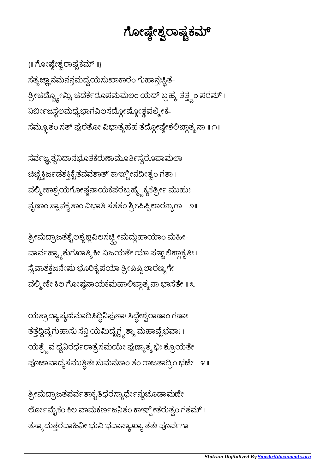ಶ್ರೀಮದ್ರಾಜತಪರ್ವತಾಕೃತಿಧರಸ್ಯಾರ್ಧೇನ್ದುಚೂಡಾಮಣ<mark>ೇ</mark>-ಲೋ೯ಮೈಕಂ ಕಿಲ ವಾಮಕರ್ಣಜನಿತಂ ಕಾಞ್ಬೀತರುತ್ತಂ ಗತಮ್ । ತಸ್ಮಾ ದುತ್ತರವಾಹಿನೀ ಭುವಿ ಭವಾನ್ಯಾಖ್ಯಾ ತತಃ ಪೂರ್ವಗಾ

ಯತ್ರಾದ್ಯಾಪ್ಯಣಿಮಾದಿಸಿದ್ದಿನಿಪುಣಾಃ ಸಿದ್ದೇಶ್ವರಾಣಾಂ ಗಣಾಃ ತತ್ತದ್ದಿವ್ಯಗುಹಾಸು ಸ<mark>್ತ</mark>ಿ ಯಮಿದೃಗ್ದೃಶ್ಯಾ ಮಹಾವೈಭವಾಃ । ಯತ್ರೈವ ಧ್ವನಿರರ್ಧರಾತ್ರಸಮಯೇ ಪುಣ್ಯಾತ್ಮಭಿಃ ಶ್ರೂಯತೇ ಪೂಜಾವಾದ್ಯಸಮುತ್ಥಿತಃ ಸುಮನಸಾಂ ತಂ ರಾಜತಾದ್ರಿಂ ಭಜೇ ॥ ೪॥

ಶ್ರೀಮದ್ರಾಜತಶೈಲಶೃಙ್ಧವಿಲಸಚ್ಪ್ರೀಮದ್ಗುಹಾಯಾಂ ಮಹೀ-ವಾರ್ವಹ್ನ್ಯಾಶುಗಖಾತ್ಮಿ ಕೀ ವಿಜಯತೇ ಯಾ ಪಞ್ಚಲಿಙ್ಗಾಕೃತಿಃ । ಸೈವಾಶಕ್ತಜನೇಷು ಭೂರಿಕೃಪಯಾ ಶ್ರೀಪಿಪ್ಪಿಲಾರಣ್ಯಗೇ ವಲ್ಮೀಕೇ ಕಿಲ ಗೋಷ್ಠನಾಯಕಮಹಾಲಿಙ್ಗಾತ್ಮ ನಾ ಭಾಸತೇ ॥ ೩ ॥

ಸರ್ವಜ್ಞತ್ವನಿದಾನಭೂತಕರುಣಾಮೂರ್ತಿಸ್ವರೂಪಾಮಲಾ ಚಿಚ್ಛಕ್ತಿರ್ಜಡಶಕ್ತಿಕೈತವವಶಾತ್ ಕಾಞ್ಚೀನದೀತ್ವಂ ಗತಾ । ವಲ್ಮೀಕಾಶ್ರಯಗೋಷ್ಣನಾಯಕಪರಬ್ರಹ್ಮ್ಟೆಕ್ಯಕ್ರೀ೯ ಮುಹುಃ ನೃಣಾಂ ಸ್ವಾನಕೃತಾಂ ವಿಭಾತಿ ಸತತಂ ಶ್ರೀಪಿಪ್ಪಿಲಾರಣ್ಯಗಾ ॥ ೨॥

{॥ ಗೋಷ್ಠೇಶ್ವರಾಷ್ಟಕಮ್ ॥} ಸತ್ಯಜ್ಞಾನಮನನ್ತಮದ್ವಯಸುಖಾಕಾರಂ ಗುಹಾನ್ತಃಸ್ಥಿತ-ಶ್ರೀಚಿದ್ವ್ಯೋಮ್ನಿ ಚಿದರ್ಕರೂಪಮಮಲಂ ಯದ್ ಬ್ರಹ್ಮ ತತ್ತ್ವಂ ಪರಮ್ । ನಿರ್ಬೀಜಸ್ಥಲಮಧ್ಯಭಾಗವಿಲಸದ್ಗೋಷ್ಠೋತ್ಥವಲ್ಲೀಕ-ಸಮ್ಬೂತಂ ಸತ್ ಪುರತೋ ವಿಭಾತ್ಯಹಹ ತದ್ಗೋಷ್ಠೇಶಲಿಙ್ಗಾತ್ಮ ನಾ ॥ ೧॥

ಗೋಷ್ಠೇಶ್ವರಾಷ್ಟ್ರಕಮ್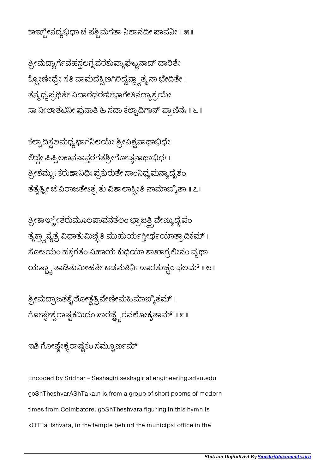ಕಾಞ್ಚೀನದ್ಯಭಿಧಾ ಚ ಪಶ್ಚಿಮಗತಾ ನಿಲಾನದೀ ಪಾವನೀ ॥ ೫॥

ಶ್ರೀಮದ್ಭಾರ್ಗವಹಸ್ಥಲಗ್ವಪರಶುವ್ಯಾಘಟ್ಟನಾದ್ ದಾರಿತೇ ಕ್ಸೋಣೀಧ್ರೇ ಸತಿ ವಾಮದಕ್ಷಿಣಗಿರಿದ್ವನ್ದ್ವಾತ್ಮನಾ ಭೇದಿತೇ । ತನ್ಮ ಧ್ಯಪ್ರಥಿತೇ ವಿದಾರಧರಣೀಭಾಗೇತಿನದ್ಯಾಶ್ರಯೇ ಸಾ ನೀಲಾತಟಿನೀ ಪುನಾತಿ ಹಿ ಸದಾ ಕಲ್ಪಾದಿಗಾನ್ ಪ್ರಾಣಿನಃ ॥ ೬ ॥

ಕಲ್ಪಾದಿಸ್ಥಲಮಧ್ಯಭಾಗನಿಲಯೇ ಶ್ರೀವಿಶ್ವನಾಥಾಭಿಧೇ ಲಿಜ್ದೇ ಪಿಪ್ಪಿಲಕಾನನಾನ್ಗರಗತಶ್ರೀಗೋಷ್ಣನಾಥಾಭಿಧಃ । ಶ್ರೀಶಮ್ಬುಃ ಕರುಣಾನಿಧಿಃ ಪ್ರಕುರುತೇ ಸಾಂನಿಧ್ಯಮನ್ಯಾದೃಶಂ ತತ್ಪತ್ವೀ ಚ ವಿರಾಜತೇಽತ್ರ ತು ವಿಶಾಲಾಕ್ಸೀತಿ ನಾಮಾಙ್ಕಿತಾ ॥ ೭॥

ತ್ರೀಕಾಞ್ಲೀತರುಮೂಲಪಾವನತಲಂ ಭ್ರಾಜತ್ತಿ ವೇಣ್ಯುದ್ಭವಂ ತ್ಯಕ್ತ್ವಾನ್ಯತ್ರ ವಿಧಾತುಮಿಚ್ಛತಿ ಮುಹುರ್ಯಸ್ತೀರ್ಥಯಾತ್ರಾದಿಕಮ್ । ಸೋಽಯಂ ಹಸ್ತಗತಂ ವಿಹಾಯ ಕುಧಿಯಾ ಶಾಖಾಗ್ರಲೀನಂ ವೃಥಾ ಯಷ್ಟ್ಯಾ ತಾಡಿತುಮೀಹತೇ ಜಡಮತಿರ್ನಿಃಸಾರತುಚ್ಛಂ ಫಲಮ್ ॥ ೮॥

ಶ್ರೀಮದ್ರಾಜತಶೈಲೋತ್ಥತ್ರಿವೇಣೀಮಹಿಮಾಙ್ಕಿತಮ್ । ಗೋಷ್ಠೇಶ್ವರಾಷ್ಟ್ರಕಮಿದಂ ಸಾರಜ್ಞ್ವೆರವಲೋಕ್ಯತಾಮ್ ॥ ೯॥

ಇತಿ ಗೋಷ್ಠೇಶ್ವರಾಷ್ಟಕಂ ಸಮ್ಪೂರ್ಣಮ್

Encoded by Sridhar - Seshagiri seshagir at engineering.sdsu.edu goShTheshvarAShTaka.n is from a group of short poems of modern times from Coimbatore. goShTheshvara figuring in this hymn is kOTTai Ishvara, in the temple behind the municipal office in the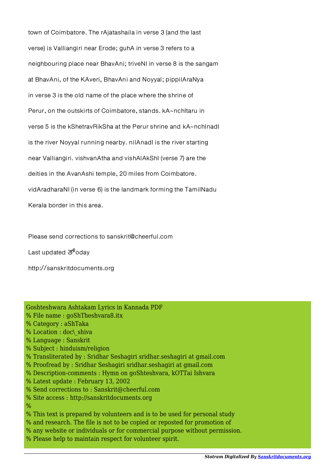town of Coimbatore. The rAjatashaila in verse 3 (and the last verse) is Valliangiri near Erode; guhA in verse 3 refers to a neighbouring place near BhavAni; triveNI in verse 8 is the sangam at BhavAni, of the KAveri, BhavAni and Noyyal; pippilAraNya in verse 3 is the old name of the place where the shrine of Perur, on the outskirts of Coimbatore, stands. kA~nchItaru in verse 5 is the kShetravRikSha at the Perur shrine and kA~nchInadI is the river Noyyal running nearby. nilAnadI is the river starting near Valliangiri. vishvanAtha and vishAlAkShI (verse 7) are the deities in the AvanAshi temple, 20 miles from Coimbatore. vidAradharaNI (in verse 6) is the landmark forming the TamilNadu Kerala border in this area.

Please send corrections to sanskrit@cheerful.com

Last updated  $\overline{\mathcal{S}}^6$ oday

http://sanskritdocuments.org

| Goshteshwara Ashtakam Lyrics in Kannada PDF                                |
|----------------------------------------------------------------------------|
| % File name : goShTheshvara8.itx                                           |
| % Category : aShTaka                                                       |
| % Location : doc\ shiva                                                    |
| % Language : Sanskrit                                                      |
| % Subject: hinduism/religion                                               |
| % Transliterated by : Sridhar Seshagiri sridhar.seshagiri at gmail.com     |
| % Proofread by : Sridhar Seshagiri sridhar.seshagiri at gmail.com          |
| % Description-comments : Hymn on goShteshvara, kOTTai Ishvara              |
| % Latest update: February 13, 2002                                         |
| % Send corrections to: Sanskrit@cheerful.com                               |
| % Site access : http://sanskritdocuments.org                               |
| %                                                                          |
| % This text is prepared by volunteers and is to be used for personal study |
| % and research. The file is not to be copied or reposted for promotion of  |
| % any website or individuals or for commercial purpose without permission. |
| % Please help to maintain respect for volunteer spirit.                    |
|                                                                            |